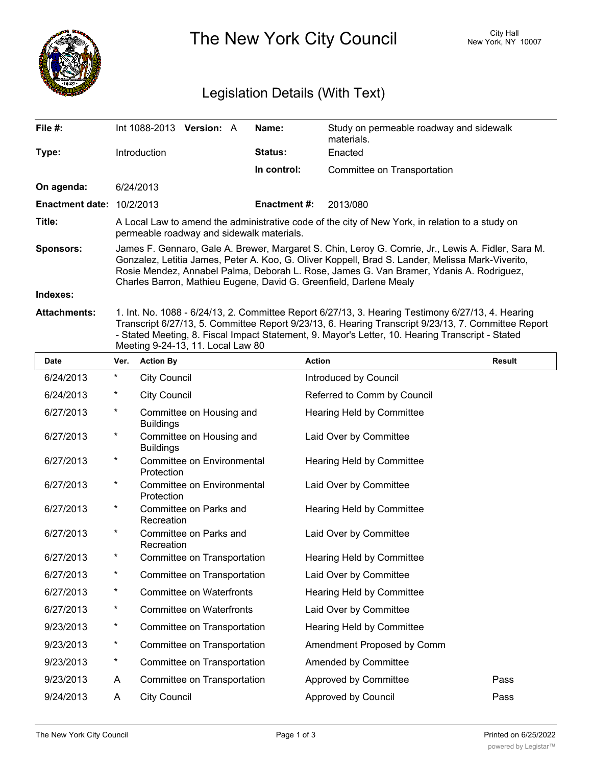

The New York City Council New York, NY 10007

## Legislation Details (With Text)

| File $#$ :             | Int 1088-2013                                                                                                                                                                                                                                                                                                                                                           | <b>Version: A</b> |  | Name:               | Study on permeable roadway and sidewalk<br>materials. |
|------------------------|-------------------------------------------------------------------------------------------------------------------------------------------------------------------------------------------------------------------------------------------------------------------------------------------------------------------------------------------------------------------------|-------------------|--|---------------------|-------------------------------------------------------|
| Type:                  | Introduction                                                                                                                                                                                                                                                                                                                                                            |                   |  | <b>Status:</b>      | Enacted                                               |
|                        |                                                                                                                                                                                                                                                                                                                                                                         |                   |  | In control:         | Committee on Transportation                           |
| On agenda:             | 6/24/2013                                                                                                                                                                                                                                                                                                                                                               |                   |  |                     |                                                       |
| <b>Enactment date:</b> | 10/2/2013                                                                                                                                                                                                                                                                                                                                                               |                   |  | <b>Enactment #:</b> | 2013/080                                              |
| Title:                 | A Local Law to amend the administrative code of the city of New York, in relation to a study on<br>permeable roadway and sidewalk materials.                                                                                                                                                                                                                            |                   |  |                     |                                                       |
| <b>Sponsors:</b>       | James F. Gennaro, Gale A. Brewer, Margaret S. Chin, Leroy G. Comrie, Jr., Lewis A. Fidler, Sara M.<br>Gonzalez, Letitia James, Peter A. Koo, G. Oliver Koppell, Brad S. Lander, Melissa Mark-Viverito,<br>Rosie Mendez, Annabel Palma, Deborah L. Rose, James G. Van Bramer, Ydanis A. Rodriguez,<br>Charles Barron, Mathieu Eugene, David G. Greenfield, Darlene Mealy |                   |  |                     |                                                       |
| Indexes:               |                                                                                                                                                                                                                                                                                                                                                                         |                   |  |                     |                                                       |
| <b>Attachments:</b>    | 1. Int. No. 1088 - 6/24/13, 2. Committee Report 6/27/13, 3. Hearing Testimony 6/27/13, 4. Hearing                                                                                                                                                                                                                                                                       |                   |  |                     |                                                       |

Transcript 6/27/13, 5. Committee Report 9/23/13, 6. Hearing Transcript 9/23/13, 7. Committee Report - Stated Meeting, 8. Fiscal Impact Statement, 9. Mayor's Letter, 10. Hearing Transcript - Stated Meeting 9-24-13, 11. Local Law 80

| <b>Date</b> | Ver.     | <b>Action By</b>                             | <b>Action</b>               | <b>Result</b> |
|-------------|----------|----------------------------------------------|-----------------------------|---------------|
| 6/24/2013   | $^\star$ | <b>City Council</b>                          | Introduced by Council       |               |
| 6/24/2013   | *        | <b>City Council</b>                          | Referred to Comm by Council |               |
| 6/27/2013   | $^\star$ | Committee on Housing and<br><b>Buildings</b> | Hearing Held by Committee   |               |
| 6/27/2013   | $^\star$ | Committee on Housing and<br><b>Buildings</b> | Laid Over by Committee      |               |
| 6/27/2013   | $^\star$ | Committee on Environmental<br>Protection     | Hearing Held by Committee   |               |
| 6/27/2013   | *        | Committee on Environmental<br>Protection     | Laid Over by Committee      |               |
| 6/27/2013   | *        | Committee on Parks and<br>Recreation         | Hearing Held by Committee   |               |
| 6/27/2013   | $^\star$ | Committee on Parks and<br>Recreation         | Laid Over by Committee      |               |
| 6/27/2013   | $^\star$ | Committee on Transportation                  | Hearing Held by Committee   |               |
| 6/27/2013   | $^\star$ | Committee on Transportation                  | Laid Over by Committee      |               |
| 6/27/2013   | $\star$  | <b>Committee on Waterfronts</b>              | Hearing Held by Committee   |               |
| 6/27/2013   | $\star$  | <b>Committee on Waterfronts</b>              | Laid Over by Committee      |               |
| 9/23/2013   | *        | Committee on Transportation                  | Hearing Held by Committee   |               |
| 9/23/2013   | *        | Committee on Transportation                  | Amendment Proposed by Comm  |               |
| 9/23/2013   | $\star$  | Committee on Transportation                  | Amended by Committee        |               |
| 9/23/2013   | A        | Committee on Transportation                  | Approved by Committee       | Pass          |
| 9/24/2013   | A        | <b>City Council</b>                          | <b>Approved by Council</b>  | Pass          |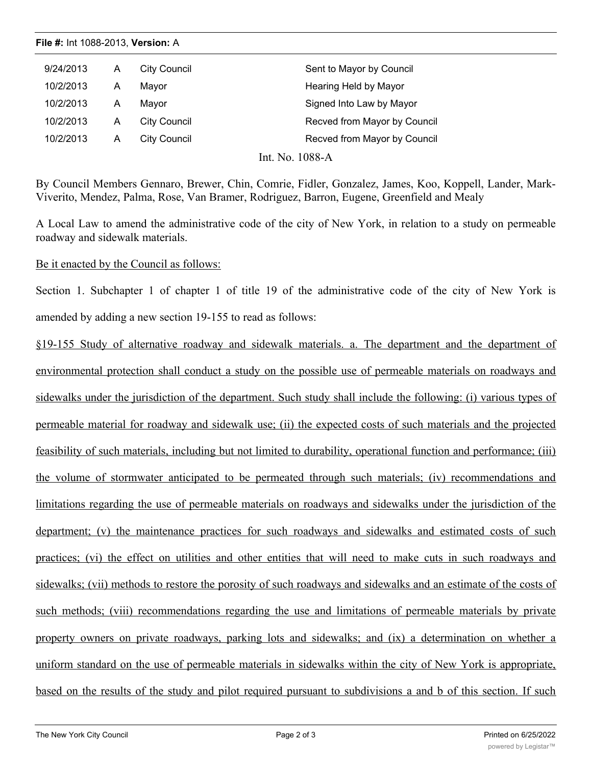**File #:** Int 1088-2013, **Version:** A

| 9/24/2013 | A | City Council | Sent to Mayor by Council     |
|-----------|---|--------------|------------------------------|
| 10/2/2013 | A | Mavor        | Hearing Held by Mayor        |
| 10/2/2013 | A | Mavor        | Signed Into Law by Mayor     |
| 10/2/2013 | A | City Council | Recved from Mayor by Council |
| 10/2/2013 | А | City Council | Recved from Mayor by Council |
|           |   |              |                              |

Int. No. 1088-A

By Council Members Gennaro, Brewer, Chin, Comrie, Fidler, Gonzalez, James, Koo, Koppell, Lander, Mark-Viverito, Mendez, Palma, Rose, Van Bramer, Rodriguez, Barron, Eugene, Greenfield and Mealy

A Local Law to amend the administrative code of the city of New York, in relation to a study on permeable roadway and sidewalk materials.

Be it enacted by the Council as follows:

Section 1. Subchapter 1 of chapter 1 of title 19 of the administrative code of the city of New York is amended by adding a new section 19-155 to read as follows:

§19-155 Study of alternative roadway and sidewalk materials. a. The department and the department of environmental protection shall conduct a study on the possible use of permeable materials on roadways and sidewalks under the jurisdiction of the department. Such study shall include the following: (i) various types of permeable material for roadway and sidewalk use; (ii) the expected costs of such materials and the projected feasibility of such materials, including but not limited to durability, operational function and performance; (iii) the volume of stormwater anticipated to be permeated through such materials; (iv) recommendations and limitations regarding the use of permeable materials on roadways and sidewalks under the jurisdiction of the department; (v) the maintenance practices for such roadways and sidewalks and estimated costs of such practices; (vi) the effect on utilities and other entities that will need to make cuts in such roadways and sidewalks; (vii) methods to restore the porosity of such roadways and sidewalks and an estimate of the costs of such methods; (viii) recommendations regarding the use and limitations of permeable materials by private property owners on private roadways, parking lots and sidewalks; and (ix) a determination on whether a uniform standard on the use of permeable materials in sidewalks within the city of New York is appropriate, based on the results of the study and pilot required pursuant to subdivisions a and b of this section. If such